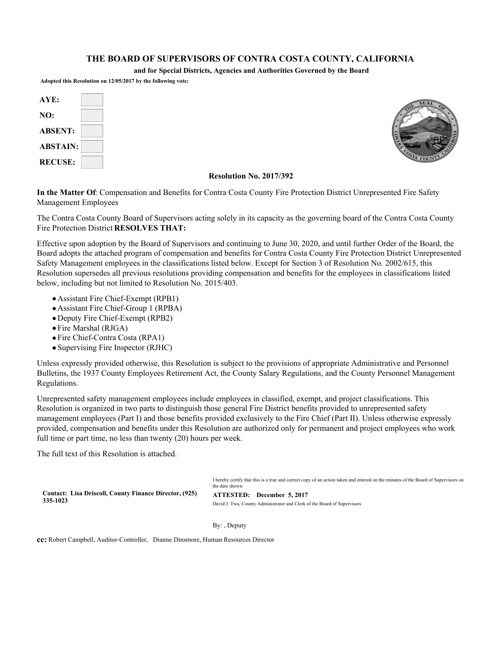#### **THE BOARD OF SUPERVISORS OF CONTRA COSTA COUNTY, CALIFORNIA**

**and for Special Districts, Agencies and Authorities Governed by the Board**

**Adopted this Resolution on 12/05/2017 by the following vote:**

| AYE:            |  |
|-----------------|--|
| NO:             |  |
| <b>ABSENT:</b>  |  |
| <b>ABSTAIN:</b> |  |
| <b>RECUSE:</b>  |  |



#### **Resolution No. 2017/392**

**In the Matter Of**: Compensation and Benefits for Contra Costa County Fire Protection District Unrepresented Fire Safety Management Employees

The Contra Costa County Board of Supervisors acting solely in its capacity as the governing board of the Contra Costa County Fire Protection District **RESOLVES THAT:**

Effective upon adoption by the Board of Supervisors and continuing to June 30, 2020, and until further Order of the Board, the Board adopts the attached program of compensation and benefits for Contra Costa County Fire Protection District Unrepresented Safety Management employees in the classifications listed below. Except for Section 3 of Resolution No. 2002/615, this Resolution supersedes all previous resolutions providing compensation and benefits for the employees in classifications listed below, including but not limited to Resolution No. 2015/403.

- Assistant Fire Chief-Exempt (RPB1)
- Assistant Fire Chief-Group 1 (RPBA)
- Deputy Fire Chief-Exempt (RPB2)
- Fire Marshal (RJGA)
- Fire Chief-Contra Costa (RPA1)
- Supervising Fire Inspector (RJHC)

Unless expressly provided otherwise, this Resolution is subject to the provisions of appropriate Administrative and Personnel Bulletins, the 1937 County Employees Retirement Act, the County Salary Regulations, and the County Personnel Management Regulations.

Unrepresented safety management employees include employees in classified, exempt, and project classifications. This Resolution is organized in two parts to distinguish those general Fire District benefits provided to unrepresented safety management employees (Part I) and those benefits provided exclusively to the Fire Chief (Part II). Unless otherwise expressly provided, compensation and benefits under this Resolution are authorized only for permanent and project employees who work full time or part time, no less than twenty (20) hours per week.

The full text of this Resolution is attached.

I hereby certify that this is a true and correct copy of an action taken and entered on the minutes of the Board of Supervisors on the date shown.

**Contact: Lisa Driscoll, County Finance Director, (925) 335-1023**

**ATTESTED: December 5, 2017**  David J. Twa, County Administrator and Clerk of the Board of Supervisors

By: , Deputy

**cc:** Robert Campbell, Auditor-Controller, Dianne Dinsmore, Human Resources Director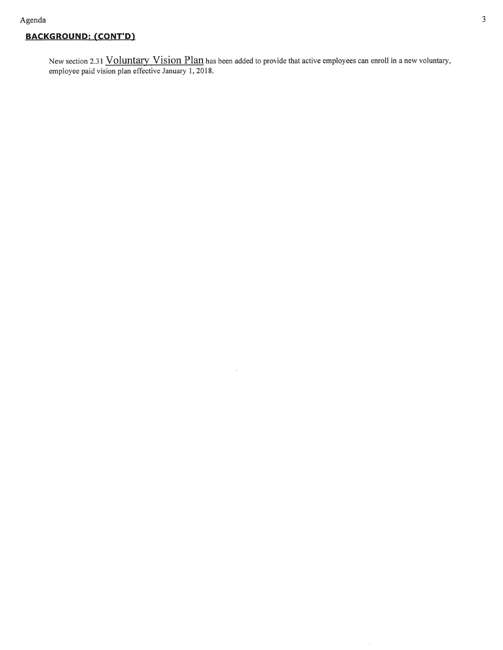#### **BACKGROUND: (CONT'D)**

New section 2.31 Voluntary Vision Plan has been added to provide that active employees can enroll in a new voluntary, employee paid vision plan effective January 1, 2018.

 $\tilde{\omega}$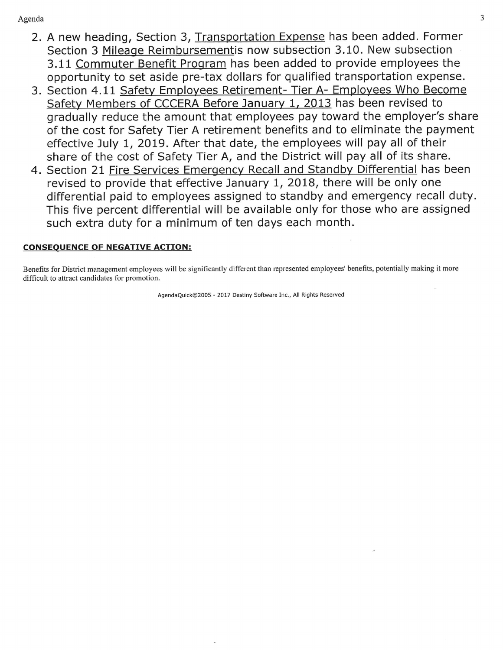- 2. A new heading, Section 3, Transportation Expense has been added. Former Section 3 Mileage Reimbursementis now subsection 3.10. New subsection 3.11 Commuter Benefit Program has been added to provide employees the opportunity to set aside pre-tax dollars for qualified transportation expense.
- 3. Section 4.11 Safety Employees Retirement- Tier A- Employees Who Become Safety Members of CCCERA Before January 1, 2013 has been revised to gradually reduce the amount that employees pay toward the employer's share of the cost for Safety Tier A retirement benefits and to eliminate the payment effective July 1, 2019. After that date, the employees will pay all of their share of the cost of Safety Tier A, and the District will pay all of its share.
- 4. Section 21 Fire Services Emergency Recall and Standby Differential has been revised to provide that effective January 1, 2018, there will be only one differential paid to employees assigned to standby and emergency recall duty. This five percent differential will be available only for those who are assigned such extra duty for a minimum of ten days each month.

### **CONSEQUENCE OF NEGATIVE ACTION:**

Benefits for District management employees will be significantly different than represented employees' benefits, potentially making it more difficult to attract candidates for promotion.

AgendaQuick©2005 - 2017 Destiny Software Inc., All Rights Reserved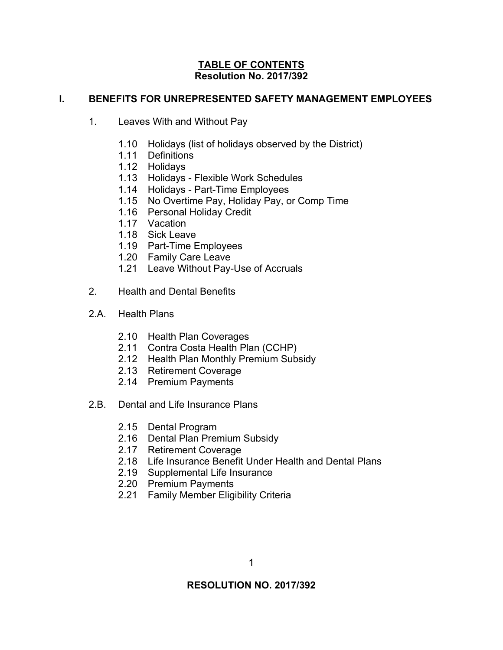#### **TABLE OF CONTENTS Resolution No. 2017/392**

### **I. BENEFITS FOR UNREPRESENTED SAFETY MANAGEMENT EMPLOYEES**

- 1. Leaves With and Without Pay
	- 1.10 Holidays (list of holidays observed by the District)
	- 1.11 Definitions
	- 1.12 Holidays
	- 1.13 Holidays Flexible Work Schedules
	- 1.14 Holidays Part-Time Employees
	- 1.15 No Overtime Pay, Holiday Pay, or Comp Time
	- 1.16 Personal Holiday Credit
	- 1.17 Vacation
	- 1.18 Sick Leave
	- 1.19 Part-Time Employees
	- 1.20 Family Care Leave
	- 1.21 Leave Without Pay-Use of Accruals
- 2. Health and Dental Benefits
- 2.A. Health Plans
	- 2.10 Health Plan Coverages
	- 2.11 Contra Costa Health Plan (CCHP)
	- 2.12 Health Plan Monthly Premium Subsidy
	- 2.13 Retirement Coverage
	- 2.14 Premium Payments
- 2.B. Dental and Life Insurance Plans
	- 2.15 Dental Program
	- 2.16 Dental Plan Premium Subsidy
	- 2.17 Retirement Coverage
	- 2.18 Life Insurance Benefit Under Health and Dental Plans
	- 2.19 Supplemental Life Insurance
	- 2.20 Premium Payments
	- 2.21 Family Member Eligibility Criteria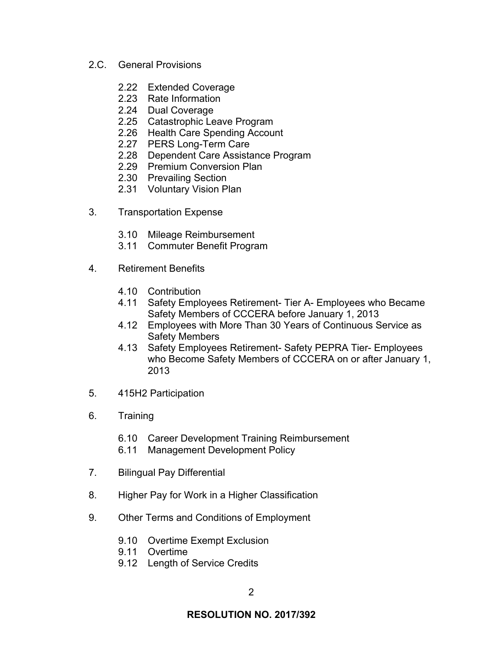- 2.C. General Provisions
	- 2.22 Extended Coverage
	- 2.23 Rate Information
	- 2.24 Dual Coverage
	- 2.25 Catastrophic Leave Program
	- 2.26 Health Care Spending Account
	- 2.27 PERS Long-Term Care
	- 2.28 Dependent Care Assistance Program
	- 2.29 Premium Conversion Plan
	- 2.30 Prevailing Section
	- 2.31 Voluntary Vision Plan
- 3. Transportation Expense
	- 3.10 Mileage Reimbursement
	- 3.11 Commuter Benefit Program
- 4. Retirement Benefits
	- 4.10 Contribution
	- 4.11 Safety Employees Retirement- Tier A- Employees who Became Safety Members of CCCERA before January 1, 2013
	- 4.12 Employees with More Than 30 Years of Continuous Service as Safety Members
	- 4.13 Safety Employees Retirement- Safety PEPRA Tier- Employees who Become Safety Members of CCCERA on or after January 1, 2013
- 5. 415H2 Participation
- 6. Training
	- 6.10 Career Development Training Reimbursement
	- 6.11 Management Development Policy
- 7. Bilingual Pay Differential
- 8. Higher Pay for Work in a Higher Classification
- 9. Other Terms and Conditions of Employment
	- 9.10 Overtime Exempt Exclusion
	- 9.11 Overtime
	- 9.12 Length of Service Credits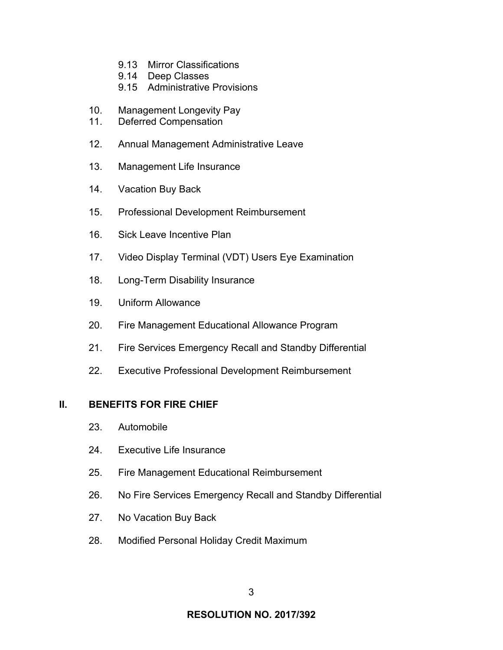- 9.13 Mirror Classifications
- 9.14 Deep Classes
- 9.15 Administrative Provisions
- 10. Management Longevity Pay
- 11. Deferred Compensation
- 12. Annual Management Administrative Leave
- 13. Management Life Insurance
- 14. Vacation Buy Back
- 15. Professional Development Reimbursement
- 16. Sick Leave Incentive Plan
- 17. Video Display Terminal (VDT) Users Eye Examination
- 18. Long-Term Disability Insurance
- 19. Uniform Allowance
- 20. Fire Management Educational Allowance Program
- 21. Fire Services Emergency Recall and Standby Differential
- 22. Executive Professional Development Reimbursement

### **II. BENEFITS FOR FIRE CHIEF**

- 23. Automobile
- 24. Executive Life Insurance
- 25. Fire Management Educational Reimbursement
- 26. No Fire Services Emergency Recall and Standby Differential
- 27. No Vacation Buy Back
- 28. Modified Personal Holiday Credit Maximum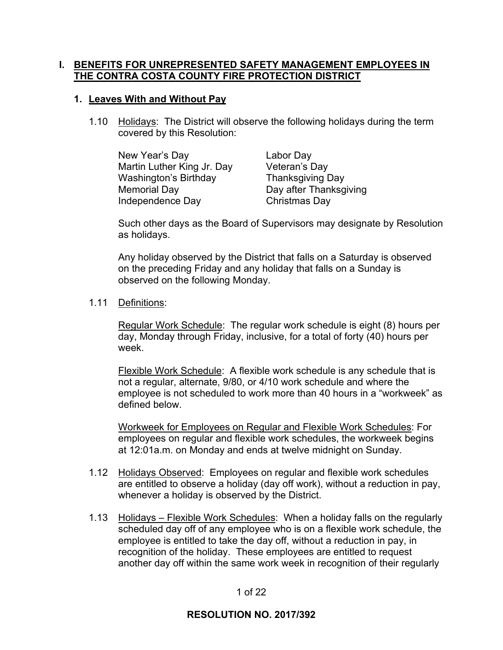### **I. BENEFITS FOR UNREPRESENTED SAFETY MANAGEMENT EMPLOYEES IN THE CONTRA COSTA COUNTY FIRE PROTECTION DISTRICT**

#### **1. Leaves With and Without Pay**

1.10 Holidays: The District will observe the following holidays during the term covered by this Resolution:

 New Year's Day Labor Day Martin Luther King Jr. Day Veteran's Day Washington's Birthday Thanksgiving Day Memorial Day **Day after Thanksgiving** Independence Day Christmas Day

Such other days as the Board of Supervisors may designate by Resolution as holidays.

Any holiday observed by the District that falls on a Saturday is observed on the preceding Friday and any holiday that falls on a Sunday is observed on the following Monday.

#### 1.11 Definitions:

Regular Work Schedule: The regular work schedule is eight (8) hours per day, Monday through Friday, inclusive, for a total of forty (40) hours per week.

Flexible Work Schedule: A flexible work schedule is any schedule that is not a regular, alternate, 9/80, or 4/10 work schedule and where the employee is not scheduled to work more than 40 hours in a "workweek" as defined below.

Workweek for Employees on Regular and Flexible Work Schedules: For employees on regular and flexible work schedules, the workweek begins at 12:01a.m. on Monday and ends at twelve midnight on Sunday.

- 1.12 Holidays Observed: Employees on regular and flexible work schedules are entitled to observe a holiday (day off work), without a reduction in pay, whenever a holiday is observed by the District.
- 1.13 Holidays Flexible Work Schedules: When a holiday falls on the regularly scheduled day off of any employee who is on a flexible work schedule, the employee is entitled to take the day off, without a reduction in pay, in recognition of the holiday. These employees are entitled to request another day off within the same work week in recognition of their regularly

#### 1 of 22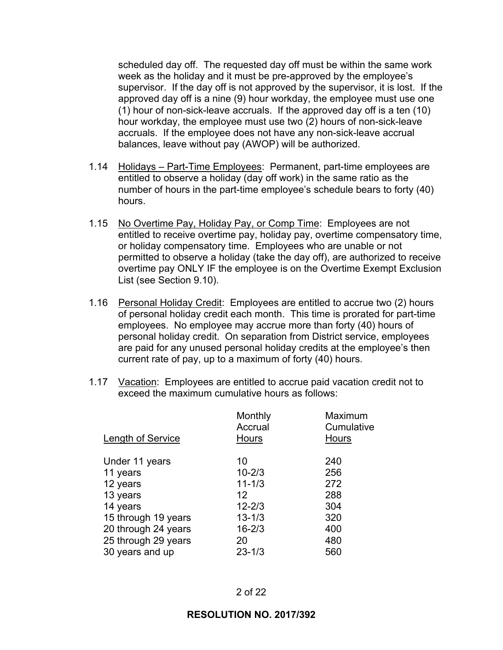scheduled day off. The requested day off must be within the same work week as the holiday and it must be pre-approved by the employee's supervisor. If the day off is not approved by the supervisor, it is lost. If the approved day off is a nine (9) hour workday, the employee must use one (1) hour of non-sick-leave accruals. If the approved day off is a ten (10) hour workday, the employee must use two (2) hours of non-sick-leave accruals. If the employee does not have any non-sick-leave accrual balances, leave without pay (AWOP) will be authorized.

- 1.14 Holidays Part-Time Employees: Permanent, part-time employees are entitled to observe a holiday (day off work) in the same ratio as the number of hours in the part-time employee's schedule bears to forty (40) hours.
- 1.15 No Overtime Pay, Holiday Pay, or Comp Time: Employees are not entitled to receive overtime pay, holiday pay, overtime compensatory time, or holiday compensatory time. Employees who are unable or not permitted to observe a holiday (take the day off), are authorized to receive overtime pay ONLY IF the employee is on the Overtime Exempt Exclusion List (see Section 9.10).
- 1.16 Personal Holiday Credit: Employees are entitled to accrue two (2) hours of personal holiday credit each month. This time is prorated for part-time employees. No employee may accrue more than forty (40) hours of personal holiday credit. On separation from District service, employees are paid for any unused personal holiday credits at the employee's then current rate of pay, up to a maximum of forty (40) hours.
- 1.17 Vacation: Employees are entitled to accrue paid vacation credit not to exceed the maximum cumulative hours as follows:

| Hours |
|-------|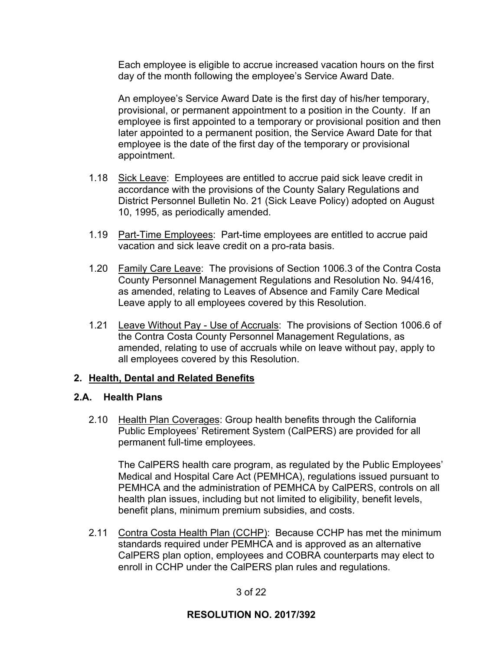Each employee is eligible to accrue increased vacation hours on the first day of the month following the employee's Service Award Date.

An employee's Service Award Date is the first day of his/her temporary, provisional, or permanent appointment to a position in the County. If an employee is first appointed to a temporary or provisional position and then later appointed to a permanent position, the Service Award Date for that employee is the date of the first day of the temporary or provisional appointment.

- 1.18 Sick Leave: Employees are entitled to accrue paid sick leave credit in accordance with the provisions of the County Salary Regulations and District Personnel Bulletin No. 21 (Sick Leave Policy) adopted on August 10, 1995, as periodically amended.
- 1.19 Part-Time Employees: Part-time employees are entitled to accrue paid vacation and sick leave credit on a pro-rata basis.
- 1.20 Family Care Leave: The provisions of Section 1006.3 of the Contra Costa County Personnel Management Regulations and Resolution No. 94/416, as amended, relating to Leaves of Absence and Family Care Medical Leave apply to all employees covered by this Resolution.
- 1.21 Leave Without Pay Use of Accruals: The provisions of Section 1006.6 of the Contra Costa County Personnel Management Regulations, as amended, relating to use of accruals while on leave without pay, apply to all employees covered by this Resolution.

## **2. Health, Dental and Related Benefits**

### **2.A. Health Plans**

 2.10 Health Plan Coverages: Group health benefits through the California Public Employees' Retirement System (CalPERS) are provided for all permanent full-time employees.

The CalPERS health care program, as regulated by the Public Employees' Medical and Hospital Care Act (PEMHCA), regulations issued pursuant to PEMHCA and the administration of PEMHCA by CalPERS, controls on all health plan issues, including but not limited to eligibility, benefit levels, benefit plans, minimum premium subsidies, and costs.

 2.11 Contra Costa Health Plan (CCHP): Because CCHP has met the minimum standards required under PEMHCA and is approved as an alternative CalPERS plan option, employees and COBRA counterparts may elect to enroll in CCHP under the CalPERS plan rules and regulations.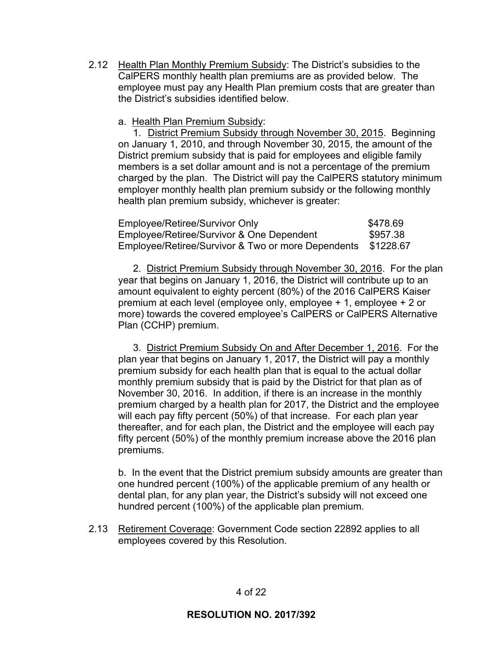2.12 Health Plan Monthly Premium Subsidy: The District's subsidies to the CalPERS monthly health plan premiums are as provided below. The employee must pay any Health Plan premium costs that are greater than the District's subsidies identified below.

a. Health Plan Premium Subsidy:

 1. District Premium Subsidy through November 30, 2015. Beginning on January 1, 2010, and through November 30, 2015, the amount of the District premium subsidy that is paid for employees and eligible family members is a set dollar amount and is not a percentage of the premium charged by the plan. The District will pay the CalPERS statutory minimum employer monthly health plan premium subsidy or the following monthly health plan premium subsidy, whichever is greater:

| Employee/Retiree/Survivor Only                               | \$478.69 |
|--------------------------------------------------------------|----------|
| Employee/Retiree/Survivor & One Dependent                    | \$957.38 |
| Employee/Retiree/Survivor & Two or more Dependents \$1228.67 |          |

 2. District Premium Subsidy through November 30, 2016. For the plan year that begins on January 1, 2016, the District will contribute up to an amount equivalent to eighty percent (80%) of the 2016 CalPERS Kaiser premium at each level (employee only, employee + 1, employee + 2 or more) towards the covered employee's CalPERS or CalPERS Alternative Plan (CCHP) premium.

 3. District Premium Subsidy On and After December 1, 2016. For the plan year that begins on January 1, 2017, the District will pay a monthly premium subsidy for each health plan that is equal to the actual dollar monthly premium subsidy that is paid by the District for that plan as of November 30, 2016. In addition, if there is an increase in the monthly premium charged by a health plan for 2017, the District and the employee will each pay fifty percent (50%) of that increase. For each plan year thereafter, and for each plan, the District and the employee will each pay fifty percent (50%) of the monthly premium increase above the 2016 plan premiums.

b. In the event that the District premium subsidy amounts are greater than one hundred percent (100%) of the applicable premium of any health or dental plan, for any plan year, the District's subsidy will not exceed one hundred percent (100%) of the applicable plan premium.

 2.13 Retirement Coverage: Government Code section 22892 applies to all employees covered by this Resolution.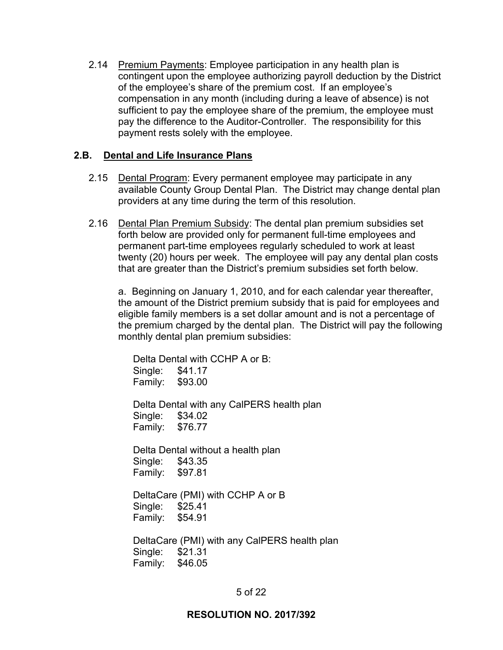2.14 Premium Payments: Employee participation in any health plan is contingent upon the employee authorizing payroll deduction by the District of the employee's share of the premium cost. If an employee's compensation in any month (including during a leave of absence) is not sufficient to pay the employee share of the premium, the employee must pay the difference to the Auditor-Controller. The responsibility for this payment rests solely with the employee.

### **2.B. Dental and Life Insurance Plans**

- 2.15 Dental Program: Every permanent employee may participate in any available County Group Dental Plan. The District may change dental plan providers at any time during the term of this resolution.
- 2.16 Dental Plan Premium Subsidy: The dental plan premium subsidies set forth below are provided only for permanent full-time employees and permanent part-time employees regularly scheduled to work at least twenty (20) hours per week. The employee will pay any dental plan costs that are greater than the District's premium subsidies set forth below.

a. Beginning on January 1, 2010, and for each calendar year thereafter, the amount of the District premium subsidy that is paid for employees and eligible family members is a set dollar amount and is not a percentage of the premium charged by the dental plan. The District will pay the following monthly dental plan premium subsidies:

 Delta Dental with CCHP A or B: Single: \$41.17 Family: \$93.00

 Delta Dental with any CalPERS health plan Single: \$34.02 Family: \$76.77

 Delta Dental without a health plan Single: \$43.35 Family: \$97.81

 DeltaCare (PMI) with CCHP A or B Single: \$25.41 Family: \$54.91

 DeltaCare (PMI) with any CalPERS health plan Single: \$21.31 Family: \$46.05

### 5 of 22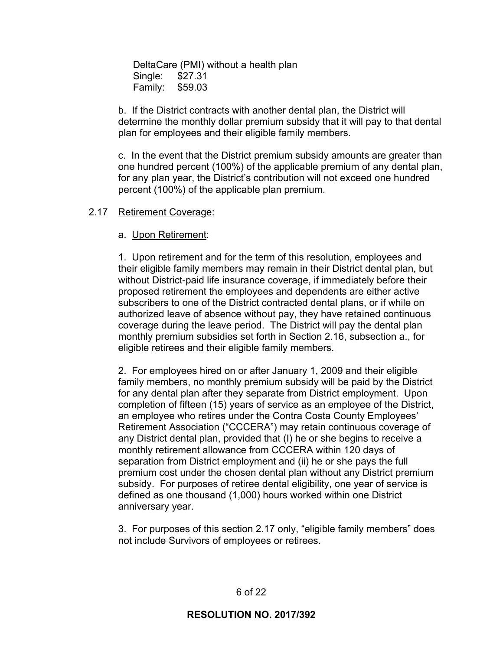DeltaCare (PMI) without a health plan Single: \$27.31 Family: \$59.03

b. If the District contracts with another dental plan, the District will determine the monthly dollar premium subsidy that it will pay to that dental plan for employees and their eligible family members.

c. In the event that the District premium subsidy amounts are greater than one hundred percent (100%) of the applicable premium of any dental plan, for any plan year, the District's contribution will not exceed one hundred percent (100%) of the applicable plan premium.

#### 2.17 Retirement Coverage:

#### a. Upon Retirement:

1. Upon retirement and for the term of this resolution, employees and their eligible family members may remain in their District dental plan, but without District-paid life insurance coverage, if immediately before their proposed retirement the employees and dependents are either active subscribers to one of the District contracted dental plans, or if while on authorized leave of absence without pay, they have retained continuous coverage during the leave period. The District will pay the dental plan monthly premium subsidies set forth in Section 2.16, subsection a., for eligible retirees and their eligible family members.

2. For employees hired on or after January 1, 2009 and their eligible family members, no monthly premium subsidy will be paid by the District for any dental plan after they separate from District employment. Upon completion of fifteen (15) years of service as an employee of the District, an employee who retires under the Contra Costa County Employees' Retirement Association ("CCCERA") may retain continuous coverage of any District dental plan, provided that (I) he or she begins to receive a monthly retirement allowance from CCCERA within 120 days of separation from District employment and (ii) he or she pays the full premium cost under the chosen dental plan without any District premium subsidy. For purposes of retiree dental eligibility, one year of service is defined as one thousand (1,000) hours worked within one District anniversary year.

3. For purposes of this section 2.17 only, "eligible family members" does not include Survivors of employees or retirees.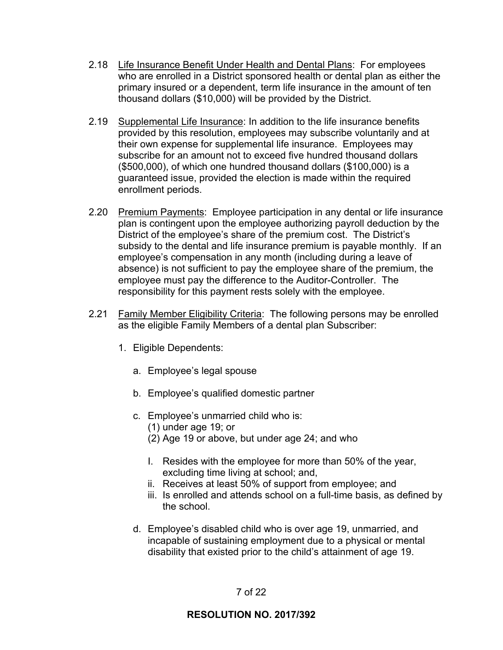- 2.18 Life Insurance Benefit Under Health and Dental Plans: For employees who are enrolled in a District sponsored health or dental plan as either the primary insured or a dependent, term life insurance in the amount of ten thousand dollars (\$10,000) will be provided by the District.
- 2.19 Supplemental Life Insurance: In addition to the life insurance benefits provided by this resolution, employees may subscribe voluntarily and at their own expense for supplemental life insurance. Employees may subscribe for an amount not to exceed five hundred thousand dollars (\$500,000), of which one hundred thousand dollars (\$100,000) is a guaranteed issue, provided the election is made within the required enrollment periods.
- 2.20 Premium Payments: Employee participation in any dental or life insurance plan is contingent upon the employee authorizing payroll deduction by the District of the employee's share of the premium cost. The District's subsidy to the dental and life insurance premium is payable monthly. If an employee's compensation in any month (including during a leave of absence) is not sufficient to pay the employee share of the premium, the employee must pay the difference to the Auditor-Controller. The responsibility for this payment rests solely with the employee.
- 2.21 Family Member Eligibility Criteria: The following persons may be enrolled as the eligible Family Members of a dental plan Subscriber:
	- 1. Eligible Dependents:
		- a. Employee's legal spouse
		- b. Employee's qualified domestic partner
		- c. Employee's unmarried child who is:
			- (1) under age 19; or
			- (2) Age 19 or above, but under age 24; and who
			- I. Resides with the employee for more than 50% of the year, excluding time living at school; and,
			- ii. Receives at least 50% of support from employee; and
			- iii. Is enrolled and attends school on a full-time basis, as defined by the school.
		- d. Employee's disabled child who is over age 19, unmarried, and incapable of sustaining employment due to a physical or mental disability that existed prior to the child's attainment of age 19.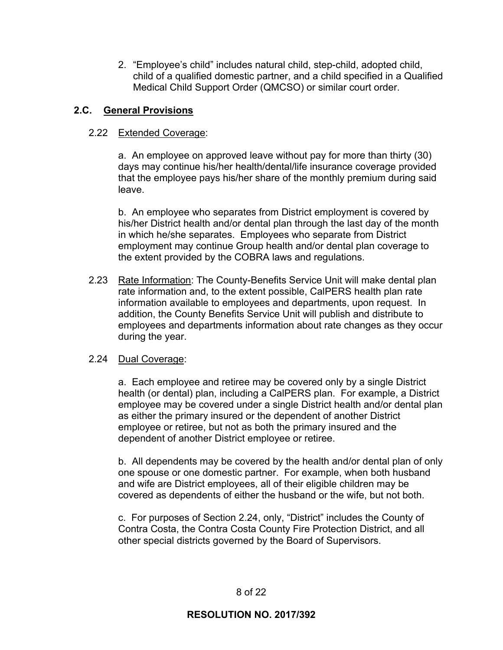2. "Employee's child" includes natural child, step-child, adopted child, child of a qualified domestic partner, and a child specified in a Qualified Medical Child Support Order (QMCSO) or similar court order.

## **2.C. General Provisions**

## 2.22 Extended Coverage:

a. An employee on approved leave without pay for more than thirty (30) days may continue his/her health/dental/life insurance coverage provided that the employee pays his/her share of the monthly premium during said leave.

b. An employee who separates from District employment is covered by his/her District health and/or dental plan through the last day of the month in which he/she separates. Employees who separate from District employment may continue Group health and/or dental plan coverage to the extent provided by the COBRA laws and regulations.

 2.23 Rate Information: The County-Benefits Service Unit will make dental plan rate information and, to the extent possible, CalPERS health plan rate information available to employees and departments, upon request. In addition, the County Benefits Service Unit will publish and distribute to employees and departments information about rate changes as they occur during the year.

### 2.24 Dual Coverage:

a. Each employee and retiree may be covered only by a single District health (or dental) plan, including a CalPERS plan. For example, a District employee may be covered under a single District health and/or dental plan as either the primary insured or the dependent of another District employee or retiree, but not as both the primary insured and the dependent of another District employee or retiree.

b. All dependents may be covered by the health and/or dental plan of only one spouse or one domestic partner. For example, when both husband and wife are District employees, all of their eligible children may be covered as dependents of either the husband or the wife, but not both.

c. For purposes of Section 2.24, only, "District" includes the County of Contra Costa, the Contra Costa County Fire Protection District, and all other special districts governed by the Board of Supervisors.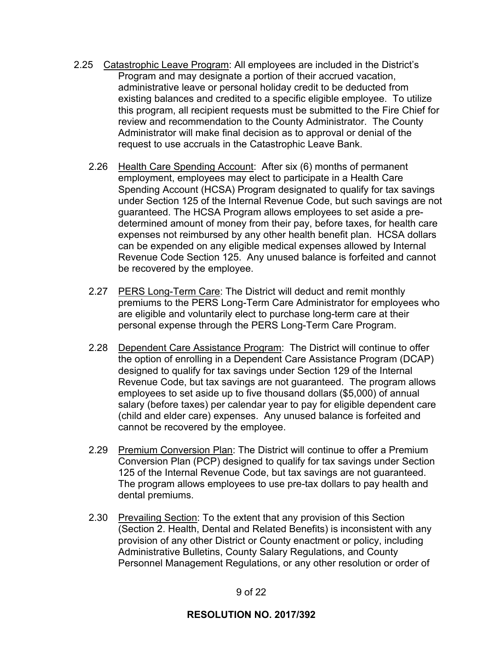- 2.25 Catastrophic Leave Program: All employees are included in the District's Program and may designate a portion of their accrued vacation, administrative leave or personal holiday credit to be deducted from existing balances and credited to a specific eligible employee. To utilize this program, all recipient requests must be submitted to the Fire Chief for review and recommendation to the County Administrator. The County Administrator will make final decision as to approval or denial of the request to use accruals in the Catastrophic Leave Bank.
	- 2.26 Health Care Spending Account: After six (6) months of permanent employment, employees may elect to participate in a Health Care Spending Account (HCSA) Program designated to qualify for tax savings under Section 125 of the Internal Revenue Code, but such savings are not guaranteed. The HCSA Program allows employees to set aside a predetermined amount of money from their pay, before taxes, for health care expenses not reimbursed by any other health benefit plan. HCSA dollars can be expended on any eligible medical expenses allowed by Internal Revenue Code Section 125. Any unused balance is forfeited and cannot be recovered by the employee.
	- 2.27 PERS Long-Term Care: The District will deduct and remit monthly premiums to the PERS Long-Term Care Administrator for employees who are eligible and voluntarily elect to purchase long-term care at their personal expense through the PERS Long-Term Care Program.
	- 2.28 Dependent Care Assistance Program: The District will continue to offer the option of enrolling in a Dependent Care Assistance Program (DCAP) designed to qualify for tax savings under Section 129 of the Internal Revenue Code, but tax savings are not guaranteed. The program allows employees to set aside up to five thousand dollars (\$5,000) of annual salary (before taxes) per calendar year to pay for eligible dependent care (child and elder care) expenses. Any unused balance is forfeited and cannot be recovered by the employee.
	- 2.29 Premium Conversion Plan: The District will continue to offer a Premium Conversion Plan (PCP) designed to qualify for tax savings under Section 125 of the Internal Revenue Code, but tax savings are not guaranteed. The program allows employees to use pre-tax dollars to pay health and dental premiums.
	- 2.30 Prevailing Section: To the extent that any provision of this Section (Section 2. Health, Dental and Related Benefits) is inconsistent with any provision of any other District or County enactment or policy, including Administrative Bulletins, County Salary Regulations, and County Personnel Management Regulations, or any other resolution or order of

### 9 of 22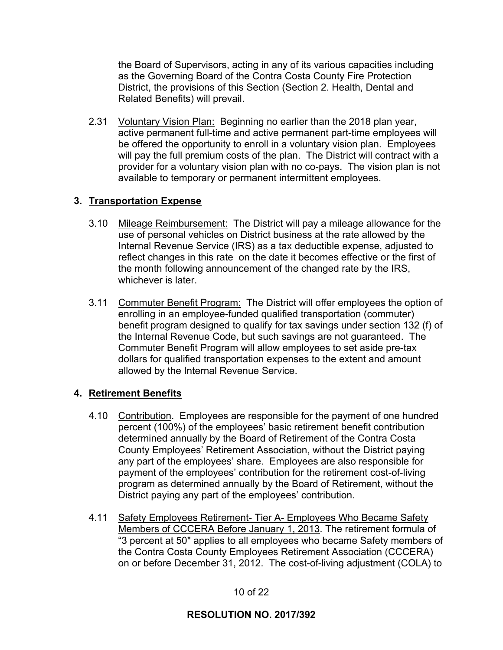the Board of Supervisors, acting in any of its various capacities including as the Governing Board of the Contra Costa County Fire Protection District, the provisions of this Section (Section 2. Health, Dental and Related Benefits) will prevail.

2.31 Voluntary Vision Plan: Beginning no earlier than the 2018 plan year, active permanent full-time and active permanent part-time employees will be offered the opportunity to enroll in a voluntary vision plan. Employees will pay the full premium costs of the plan. The District will contract with a provider for a voluntary vision plan with no co-pays. The vision plan is not available to temporary or permanent intermittent employees.

## **3. Transportation Expense**

- 3.10 Mileage Reimbursement: The District will pay a mileage allowance for the use of personal vehicles on District business at the rate allowed by the Internal Revenue Service (IRS) as a tax deductible expense, adjusted to reflect changes in this rate on the date it becomes effective or the first of the month following announcement of the changed rate by the IRS, whichever is later
- 3.11 Commuter Benefit Program: The District will offer employees the option of enrolling in an employee-funded qualified transportation (commuter) benefit program designed to qualify for tax savings under section 132 (f) of the Internal Revenue Code, but such savings are not guaranteed. The Commuter Benefit Program will allow employees to set aside pre-tax dollars for qualified transportation expenses to the extent and amount allowed by the Internal Revenue Service.

### **4. Retirement Benefits**

- 4.10 Contribution. Employees are responsible for the payment of one hundred percent (100%) of the employees' basic retirement benefit contribution determined annually by the Board of Retirement of the Contra Costa County Employees' Retirement Association, without the District paying any part of the employees' share. Employees are also responsible for payment of the employees' contribution for the retirement cost-of-living program as determined annually by the Board of Retirement, without the District paying any part of the employees' contribution.
- 4.11 Safety Employees Retirement- Tier A- Employees Who Became Safety Members of CCCERA Before January 1, 2013. The retirement formula of "3 percent at 50" applies to all employees who became Safety members of the Contra Costa County Employees Retirement Association (CCCERA) on or before December 31, 2012. The cost-of-living adjustment (COLA) to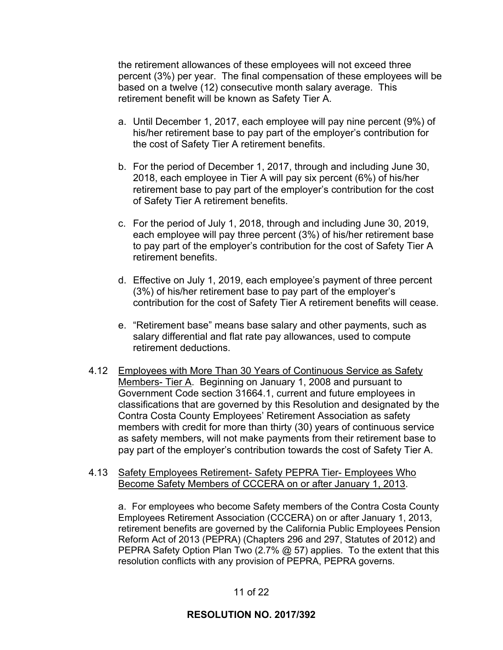the retirement allowances of these employees will not exceed three percent (3%) per year. The final compensation of these employees will be based on a twelve (12) consecutive month salary average. This retirement benefit will be known as Safety Tier A.

- a. Until December 1, 2017, each employee will pay nine percent (9%) of his/her retirement base to pay part of the employer's contribution for the cost of Safety Tier A retirement benefits.
- b. For the period of December 1, 2017, through and including June 30, 2018, each employee in Tier A will pay six percent (6%) of his/her retirement base to pay part of the employer's contribution for the cost of Safety Tier A retirement benefits.
- c. For the period of July 1, 2018, through and including June 30, 2019, each employee will pay three percent (3%) of his/her retirement base to pay part of the employer's contribution for the cost of Safety Tier A retirement benefits.
- d. Effective on July 1, 2019, each employee's payment of three percent (3%) of his/her retirement base to pay part of the employer's contribution for the cost of Safety Tier A retirement benefits will cease.
- e. "Retirement base" means base salary and other payments, such as salary differential and flat rate pay allowances, used to compute retirement deductions.
- 4.12 Employees with More Than 30 Years of Continuous Service as Safety Members- Tier A. Beginning on January 1, 2008 and pursuant to Government Code section 31664.1, current and future employees in classifications that are governed by this Resolution and designated by the Contra Costa County Employees' Retirement Association as safety members with credit for more than thirty (30) years of continuous service as safety members, will not make payments from their retirement base to pay part of the employer's contribution towards the cost of Safety Tier A.
- 4.13 Safety Employees Retirement- Safety PEPRA Tier- Employees Who Become Safety Members of CCCERA on or after January 1, 2013.

 a. For employees who become Safety members of the Contra Costa County Employees Retirement Association (CCCERA) on or after January 1, 2013, retirement benefits are governed by the California Public Employees Pension Reform Act of 2013 (PEPRA) (Chapters 296 and 297, Statutes of 2012) and PEPRA Safety Option Plan Two (2.7% @ 57) applies. To the extent that this resolution conflicts with any provision of PEPRA, PEPRA governs.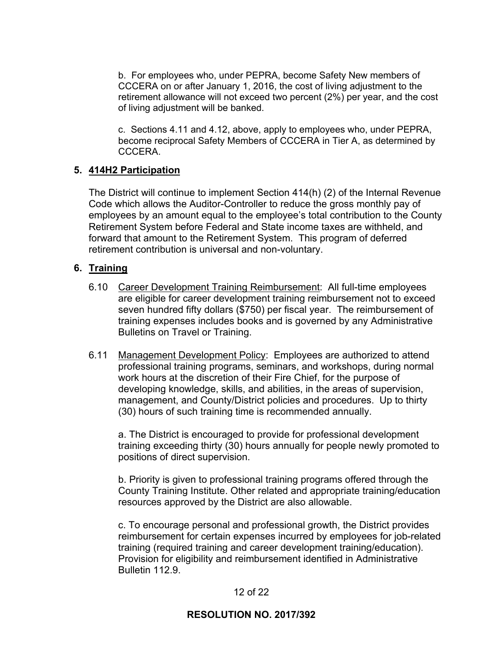b. For employees who, under PEPRA, become Safety New members of CCCERA on or after January 1, 2016, the cost of living adjustment to the retirement allowance will not exceed two percent (2%) per year, and the cost of living adjustment will be banked.

 c. Sections 4.11 and 4.12, above, apply to employees who, under PEPRA, become reciprocal Safety Members of CCCERA in Tier A, as determined by **CCCERA** 

### **5. 414H2 Participation**

The District will continue to implement Section 414(h) (2) of the Internal Revenue Code which allows the Auditor-Controller to reduce the gross monthly pay of employees by an amount equal to the employee's total contribution to the County Retirement System before Federal and State income taxes are withheld, and forward that amount to the Retirement System. This program of deferred retirement contribution is universal and non-voluntary.

## **6. Training**

- 6.10 Career Development Training Reimbursement: All full-time employees are eligible for career development training reimbursement not to exceed seven hundred fifty dollars (\$750) per fiscal year. The reimbursement of training expenses includes books and is governed by any Administrative Bulletins on Travel or Training.
- 6.11 Management Development Policy: Employees are authorized to attend professional training programs, seminars, and workshops, during normal work hours at the discretion of their Fire Chief, for the purpose of developing knowledge, skills, and abilities, in the areas of supervision, management, and County/District policies and procedures. Up to thirty (30) hours of such training time is recommended annually.

a. The District is encouraged to provide for professional development training exceeding thirty (30) hours annually for people newly promoted to positions of direct supervision.

b. Priority is given to professional training programs offered through the County Training Institute. Other related and appropriate training/education resources approved by the District are also allowable.

c. To encourage personal and professional growth, the District provides reimbursement for certain expenses incurred by employees for job-related training (required training and career development training/education). Provision for eligibility and reimbursement identified in Administrative Bulletin 112.9.

### 12 of 22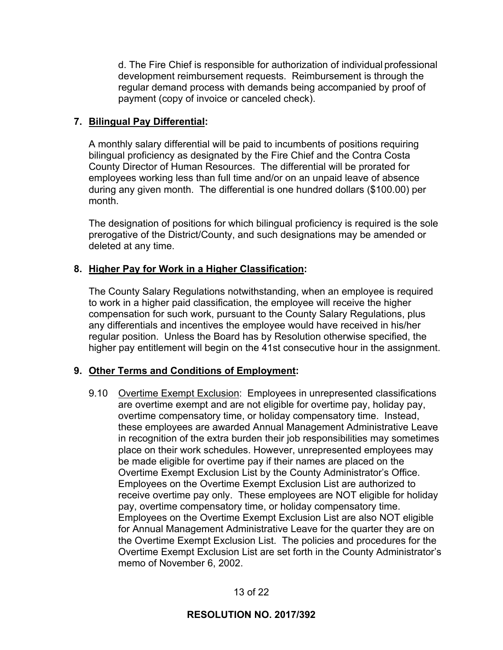d. The Fire Chief is responsible for authorization of individual professional development reimbursement requests. Reimbursement is through the regular demand process with demands being accompanied by proof of payment (copy of invoice or canceled check).

## **7. Bilingual Pay Differential:**

A monthly salary differential will be paid to incumbents of positions requiring bilingual proficiency as designated by the Fire Chief and the Contra Costa County Director of Human Resources. The differential will be prorated for employees working less than full time and/or on an unpaid leave of absence during any given month. The differential is one hundred dollars (\$100.00) per month.

The designation of positions for which bilingual proficiency is required is the sole prerogative of the District/County, and such designations may be amended or deleted at any time.

## **8. Higher Pay for Work in a Higher Classification:**

The County Salary Regulations notwithstanding, when an employee is required to work in a higher paid classification, the employee will receive the higher compensation for such work, pursuant to the County Salary Regulations, plus any differentials and incentives the employee would have received in his/her regular position. Unless the Board has by Resolution otherwise specified, the higher pay entitlement will begin on the 41st consecutive hour in the assignment.

# **9. Other Terms and Conditions of Employment:**

 9.10 Overtime Exempt Exclusion: Employees in unrepresented classifications are overtime exempt and are not eligible for overtime pay, holiday pay, overtime compensatory time, or holiday compensatory time. Instead, these employees are awarded Annual Management Administrative Leave in recognition of the extra burden their job responsibilities may sometimes place on their work schedules. However, unrepresented employees may be made eligible for overtime pay if their names are placed on the Overtime Exempt Exclusion List by the County Administrator's Office. Employees on the Overtime Exempt Exclusion List are authorized to receive overtime pay only. These employees are NOT eligible for holiday pay, overtime compensatory time, or holiday compensatory time. Employees on the Overtime Exempt Exclusion List are also NOT eligible for Annual Management Administrative Leave for the quarter they are on the Overtime Exempt Exclusion List. The policies and procedures for the Overtime Exempt Exclusion List are set forth in the County Administrator's memo of November 6, 2002.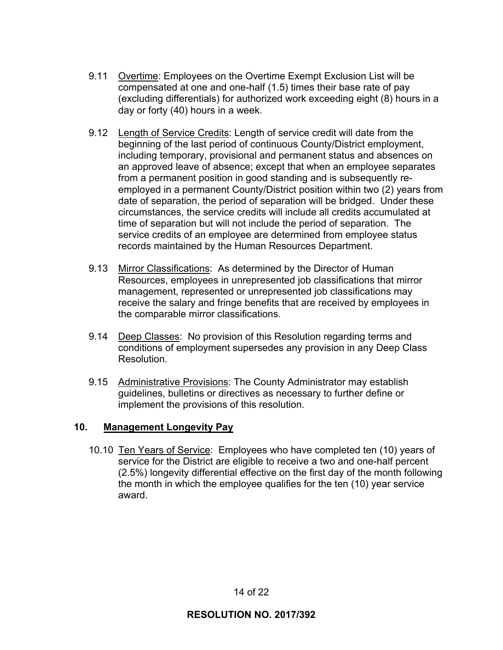- 9.11 Overtime: Employees on the Overtime Exempt Exclusion List will be compensated at one and one-half (1.5) times their base rate of pay (excluding differentials) for authorized work exceeding eight (8) hours in a day or forty (40) hours in a week.
- 9.12 Length of Service Credits: Length of service credit will date from the beginning of the last period of continuous County/District employment, including temporary, provisional and permanent status and absences on an approved leave of absence; except that when an employee separates from a permanent position in good standing and is subsequently reemployed in a permanent County/District position within two (2) years from date of separation, the period of separation will be bridged. Under these circumstances, the service credits will include all credits accumulated at time of separation but will not include the period of separation. The service credits of an employee are determined from employee status records maintained by the Human Resources Department.
- 9.13 Mirror Classifications: As determined by the Director of Human Resources, employees in unrepresented job classifications that mirror management, represented or unrepresented job classifications may receive the salary and fringe benefits that are received by employees in the comparable mirror classifications.
- 9.14 Deep Classes: No provision of this Resolution regarding terms and conditions of employment supersedes any provision in any Deep Class Resolution.
- 9.15 Administrative Provisions: The County Administrator may establish guidelines, bulletins or directives as necessary to further define or implement the provisions of this resolution.

### **10. Management Longevity Pay**

 10.10 Ten Years of Service: Employees who have completed ten (10) years of service for the District are eligible to receive a two and one-half percent (2.5%) longevity differential effective on the first day of the month following the month in which the employee qualifies for the ten (10) year service award.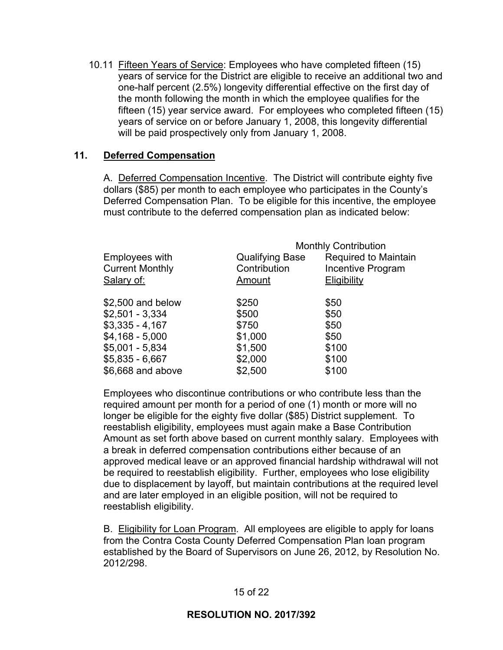10.11 Fifteen Years of Service: Employees who have completed fifteen (15) years of service for the District are eligible to receive an additional two and one-half percent (2.5%) longevity differential effective on the first day of the month following the month in which the employee qualifies for the fifteen (15) year service award. For employees who completed fifteen (15) years of service on or before January 1, 2008, this longevity differential will be paid prospectively only from January 1, 2008.

### **11. Deferred Compensation**

A. Deferred Compensation Incentive. The District will contribute eighty five dollars (\$85) per month to each employee who participates in the County's Deferred Compensation Plan. To be eligible for this incentive, the employee must contribute to the deferred compensation plan as indicated below:

|                        |                        | <b>Monthly Contribution</b> |
|------------------------|------------------------|-----------------------------|
| Employees with         | <b>Qualifying Base</b> | Required to Maintain        |
| <b>Current Monthly</b> | Contribution           | Incentive Program           |
| Salary of:             | Amount                 | <b>Eligibility</b>          |
| \$2,500 and below      | \$250                  | \$50                        |
| $$2,501 - 3,334$       | \$500                  | \$50                        |
| $$3,335 - 4,167$       | \$750                  | \$50                        |
| $$4,168 - 5,000$       | \$1,000                | \$50                        |
| $$5,001 - 5,834$       | \$1,500                | \$100                       |
| $$5,835 - 6,667$       | \$2,000                | \$100                       |
| \$6,668 and above      | \$2,500                | \$100                       |

Employees who discontinue contributions or who contribute less than the required amount per month for a period of one (1) month or more will no longer be eligible for the eighty five dollar (\$85) District supplement. To reestablish eligibility, employees must again make a Base Contribution Amount as set forth above based on current monthly salary. Employees with a break in deferred compensation contributions either because of an approved medical leave or an approved financial hardship withdrawal will not be required to reestablish eligibility. Further, employees who lose eligibility due to displacement by layoff, but maintain contributions at the required level and are later employed in an eligible position, will not be required to reestablish eligibility.

B. Eligibility for Loan Program. All employees are eligible to apply for loans from the Contra Costa County Deferred Compensation Plan loan program established by the Board of Supervisors on June 26, 2012, by Resolution No. 2012/298.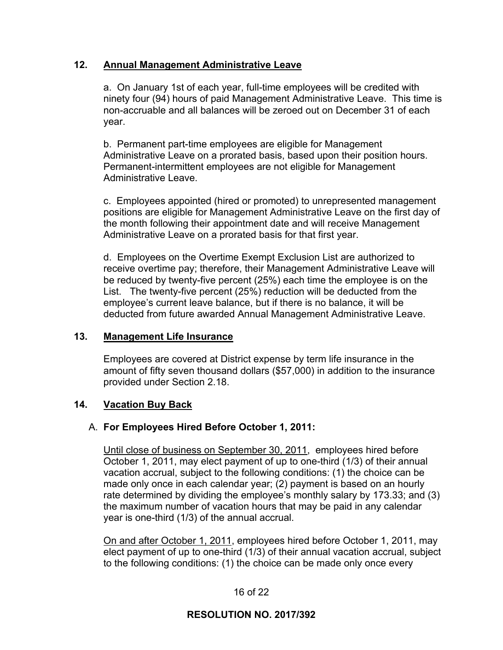## **12. Annual Management Administrative Leave**

a. On January 1st of each year, full-time employees will be credited with ninety four (94) hours of paid Management Administrative Leave. This time is non-accruable and all balances will be zeroed out on December 31 of each year.

b. Permanent part-time employees are eligible for Management Administrative Leave on a prorated basis, based upon their position hours. Permanent-intermittent employees are not eligible for Management Administrative Leave.

c. Employees appointed (hired or promoted) to unrepresented management positions are eligible for Management Administrative Leave on the first day of the month following their appointment date and will receive Management Administrative Leave on a prorated basis for that first year.

d. Employees on the Overtime Exempt Exclusion List are authorized to receive overtime pay; therefore, their Management Administrative Leave will be reduced by twenty-five percent (25%) each time the employee is on the List. The twenty-five percent (25%) reduction will be deducted from the employee's current leave balance, but if there is no balance, it will be deducted from future awarded Annual Management Administrative Leave.

### **13. Management Life Insurance**

Employees are covered at District expense by term life insurance in the amount of fifty seven thousand dollars (\$57,000) in addition to the insurance provided under Section 2.18.

### **14. Vacation Buy Back**

### A. **For Employees Hired Before October 1, 2011:**

Until close of business on September 30, 2011, employees hired before October 1, 2011, may elect payment of up to one-third (1/3) of their annual vacation accrual, subject to the following conditions: (1) the choice can be made only once in each calendar year; (2) payment is based on an hourly rate determined by dividing the employee's monthly salary by 173.33; and (3) the maximum number of vacation hours that may be paid in any calendar year is one-third (1/3) of the annual accrual.

On and after October 1, 2011, employees hired before October 1, 2011, may elect payment of up to one-third (1/3) of their annual vacation accrual, subject to the following conditions: (1) the choice can be made only once every

### 16 of 22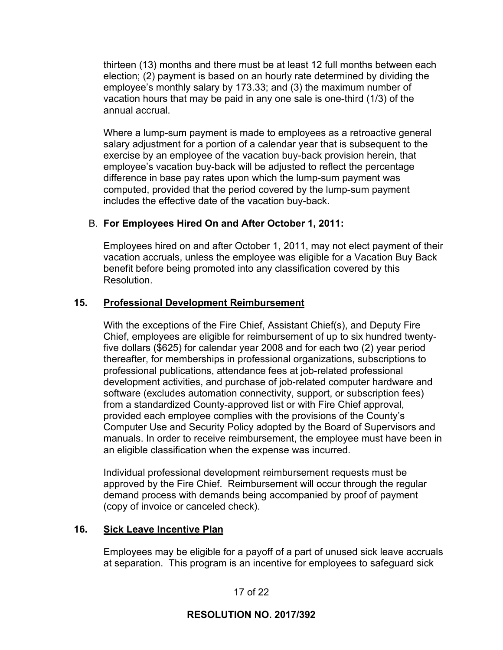thirteen (13) months and there must be at least 12 full months between each election; (2) payment is based on an hourly rate determined by dividing the employee's monthly salary by 173.33; and (3) the maximum number of vacation hours that may be paid in any one sale is one-third (1/3) of the annual accrual.

Where a lump-sum payment is made to employees as a retroactive general salary adjustment for a portion of a calendar year that is subsequent to the exercise by an employee of the vacation buy-back provision herein, that employee's vacation buy-back will be adjusted to reflect the percentage difference in base pay rates upon which the lump-sum payment was computed, provided that the period covered by the lump-sum payment includes the effective date of the vacation buy-back.

## B. **For Employees Hired On and After October 1, 2011:**

Employees hired on and after October 1, 2011, may not elect payment of their vacation accruals, unless the employee was eligible for a Vacation Buy Back benefit before being promoted into any classification covered by this **Resolution** 

### **15. Professional Development Reimbursement**

With the exceptions of the Fire Chief, Assistant Chief(s), and Deputy Fire Chief, employees are eligible for reimbursement of up to six hundred twentyfive dollars (\$625) for calendar year 2008 and for each two (2) year period thereafter, for memberships in professional organizations, subscriptions to professional publications, attendance fees at job-related professional development activities, and purchase of job-related computer hardware and software (excludes automation connectivity, support, or subscription fees) from a standardized County-approved list or with Fire Chief approval, provided each employee complies with the provisions of the County's Computer Use and Security Policy adopted by the Board of Supervisors and manuals. In order to receive reimbursement, the employee must have been in an eligible classification when the expense was incurred.

Individual professional development reimbursement requests must be approved by the Fire Chief. Reimbursement will occur through the regular demand process with demands being accompanied by proof of payment (copy of invoice or canceled check).

### **16. Sick Leave Incentive Plan**

Employees may be eligible for a payoff of a part of unused sick leave accruals at separation. This program is an incentive for employees to safeguard sick

17 of 22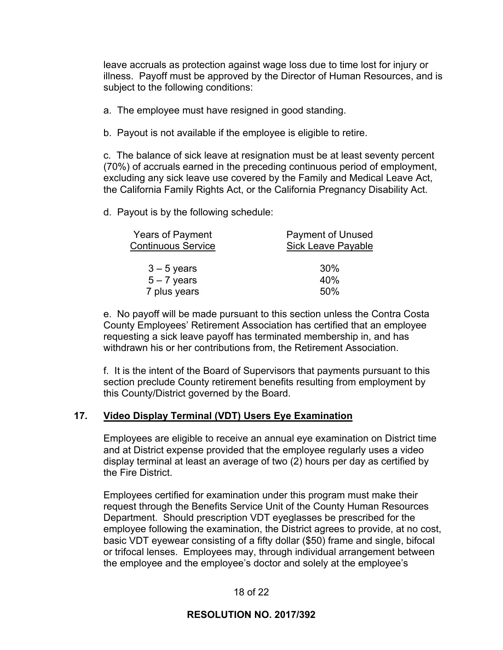leave accruals as protection against wage loss due to time lost for injury or illness. Payoff must be approved by the Director of Human Resources, and is subject to the following conditions:

- a. The employee must have resigned in good standing.
- b. Payout is not available if the employee is eligible to retire.

c. The balance of sick leave at resignation must be at least seventy percent (70%) of accruals earned in the preceding continuous period of employment, excluding any sick leave use covered by the Family and Medical Leave Act, the California Family Rights Act, or the California Pregnancy Disability Act.

d. Payout is by the following schedule:

| <b>Years of Payment</b>   | <b>Payment of Unused</b>  |  |
|---------------------------|---------------------------|--|
| <b>Continuous Service</b> | <b>Sick Leave Payable</b> |  |
|                           |                           |  |
| $3 - 5$ years             | 30%                       |  |
| $5 - 7$ years             | 40%                       |  |
| 7 plus years              | 50%                       |  |

e. No payoff will be made pursuant to this section unless the Contra Costa County Employees' Retirement Association has certified that an employee requesting a sick leave payoff has terminated membership in, and has withdrawn his or her contributions from, the Retirement Association.

f. It is the intent of the Board of Supervisors that payments pursuant to this section preclude County retirement benefits resulting from employment by this County/District governed by the Board.

#### **17. Video Display Terminal (VDT) Users Eye Examination**

Employees are eligible to receive an annual eye examination on District time and at District expense provided that the employee regularly uses a video display terminal at least an average of two (2) hours per day as certified by the Fire District.

Employees certified for examination under this program must make their request through the Benefits Service Unit of the County Human Resources Department. Should prescription VDT eyeglasses be prescribed for the employee following the examination, the District agrees to provide, at no cost, basic VDT eyewear consisting of a fifty dollar (\$50) frame and single, bifocal or trifocal lenses. Employees may, through individual arrangement between the employee and the employee's doctor and solely at the employee's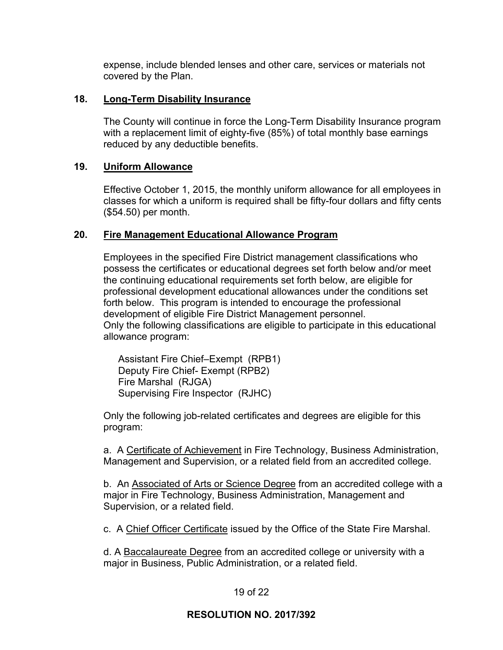expense, include blended lenses and other care, services or materials not covered by the Plan.

### **18. Long-Term Disability Insurance**

The County will continue in force the Long-Term Disability Insurance program with a replacement limit of eighty-five (85%) of total monthly base earnings reduced by any deductible benefits.

### **19. Uniform Allowance**

Effective October 1, 2015, the monthly uniform allowance for all employees in classes for which a uniform is required shall be fifty-four dollars and fifty cents (\$54.50) per month.

## **20. Fire Management Educational Allowance Program**

Employees in the specified Fire District management classifications who possess the certificates or educational degrees set forth below and/or meet the continuing educational requirements set forth below, are eligible for professional development educational allowances under the conditions set forth below. This program is intended to encourage the professional development of eligible Fire District Management personnel. Only the following classifications are eligible to participate in this educational allowance program:

 Assistant Fire Chief–Exempt (RPB1) Deputy Fire Chief- Exempt (RPB2) Fire Marshal (RJGA) Supervising Fire Inspector (RJHC)

Only the following job-related certificates and degrees are eligible for this program:

a. A Certificate of Achievement in Fire Technology, Business Administration, Management and Supervision, or a related field from an accredited college.

b. An Associated of Arts or Science Degree from an accredited college with a major in Fire Technology, Business Administration, Management and Supervision, or a related field.

c. A Chief Officer Certificate issued by the Office of the State Fire Marshal.

d. A Baccalaureate Degree from an accredited college or university with a major in Business, Public Administration, or a related field.

### 19 of 22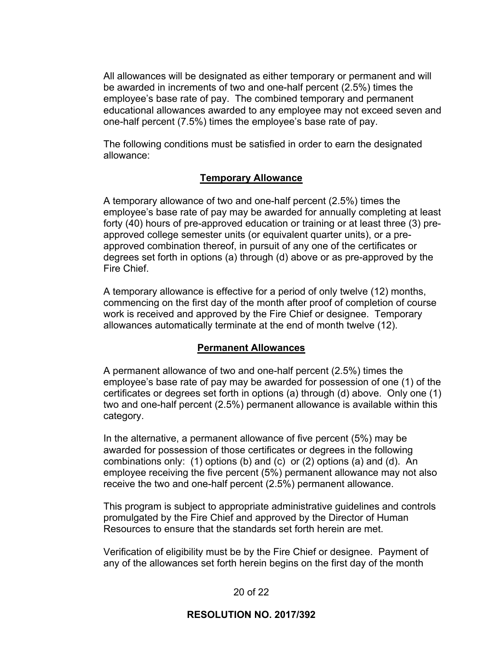All allowances will be designated as either temporary or permanent and will be awarded in increments of two and one-half percent (2.5%) times the employee's base rate of pay. The combined temporary and permanent educational allowances awarded to any employee may not exceed seven and one-half percent (7.5%) times the employee's base rate of pay.

The following conditions must be satisfied in order to earn the designated allowance:

#### **Temporary Allowance**

A temporary allowance of two and one-half percent (2.5%) times the employee's base rate of pay may be awarded for annually completing at least forty (40) hours of pre-approved education or training or at least three (3) preapproved college semester units (or equivalent quarter units), or a preapproved combination thereof, in pursuit of any one of the certificates or degrees set forth in options (a) through (d) above or as pre-approved by the Fire Chief.

A temporary allowance is effective for a period of only twelve (12) months, commencing on the first day of the month after proof of completion of course work is received and approved by the Fire Chief or designee. Temporary allowances automatically terminate at the end of month twelve (12).

#### **Permanent Allowances**

A permanent allowance of two and one-half percent (2.5%) times the employee's base rate of pay may be awarded for possession of one (1) of the certificates or degrees set forth in options (a) through (d) above. Only one (1) two and one-half percent (2.5%) permanent allowance is available within this category.

In the alternative, a permanent allowance of five percent (5%) may be awarded for possession of those certificates or degrees in the following combinations only: (1) options (b) and (c) or (2) options (a) and (d). An employee receiving the five percent (5%) permanent allowance may not also receive the two and one-half percent (2.5%) permanent allowance.

This program is subject to appropriate administrative guidelines and controls promulgated by the Fire Chief and approved by the Director of Human Resources to ensure that the standards set forth herein are met.

Verification of eligibility must be by the Fire Chief or designee. Payment of any of the allowances set forth herein begins on the first day of the month

### 20 of 22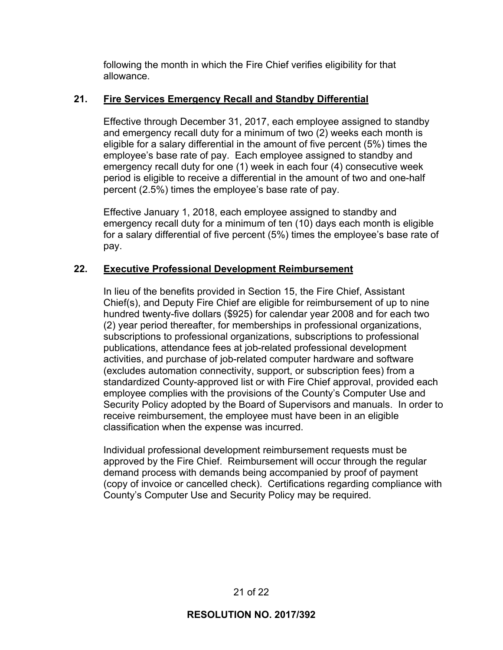following the month in which the Fire Chief verifies eligibility for that allowance.

## **21. Fire Services Emergency Recall and Standby Differential**

Effective through December 31, 2017, each employee assigned to standby and emergency recall duty for a minimum of two (2) weeks each month is eligible for a salary differential in the amount of five percent (5%) times the employee's base rate of pay. Each employee assigned to standby and emergency recall duty for one (1) week in each four (4) consecutive week period is eligible to receive a differential in the amount of two and one-half percent (2.5%) times the employee's base rate of pay.

Effective January 1, 2018, each employee assigned to standby and emergency recall duty for a minimum of ten (10) days each month is eligible for a salary differential of five percent (5%) times the employee's base rate of pay.

## **22. Executive Professional Development Reimbursement**

In lieu of the benefits provided in Section 15, the Fire Chief, Assistant Chief(s), and Deputy Fire Chief are eligible for reimbursement of up to nine hundred twenty-five dollars (\$925) for calendar year 2008 and for each two (2) year period thereafter, for memberships in professional organizations, subscriptions to professional organizations, subscriptions to professional publications, attendance fees at job-related professional development activities, and purchase of job-related computer hardware and software (excludes automation connectivity, support, or subscription fees) from a standardized County-approved list or with Fire Chief approval, provided each employee complies with the provisions of the County's Computer Use and Security Policy adopted by the Board of Supervisors and manuals. In order to receive reimbursement, the employee must have been in an eligible classification when the expense was incurred.

Individual professional development reimbursement requests must be approved by the Fire Chief. Reimbursement will occur through the regular demand process with demands being accompanied by proof of payment (copy of invoice or cancelled check). Certifications regarding compliance with County's Computer Use and Security Policy may be required.